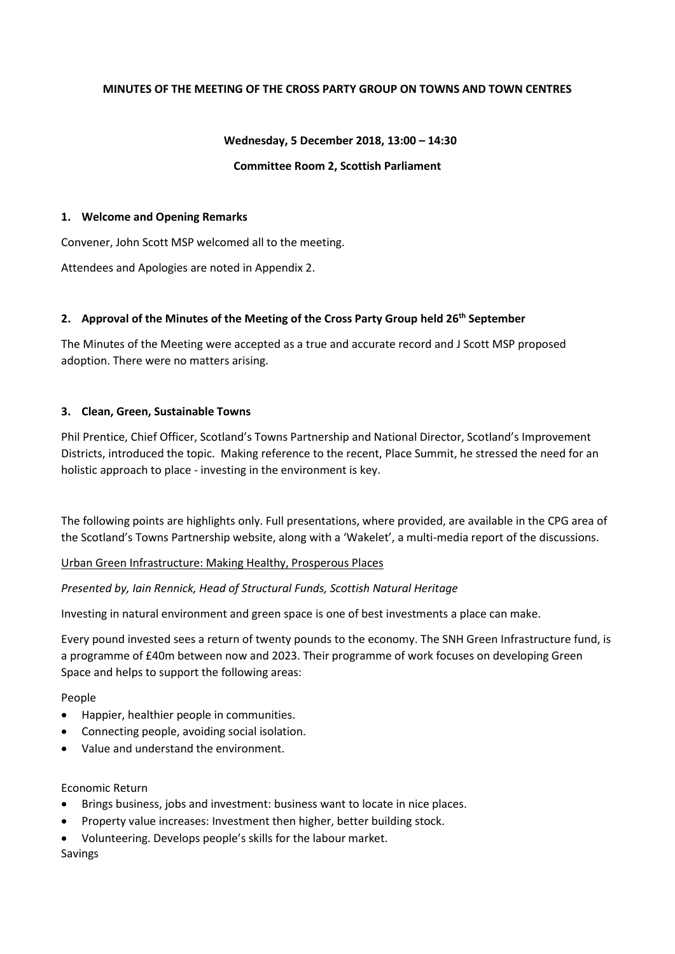## **MINUTES OF THE MEETING OF THE CROSS PARTY GROUP ON TOWNS AND TOWN CENTRES**

### **Wednesday, 5 December 2018, 13:00 – 14:30**

#### **Committee Room 2, Scottish Parliament**

#### **1. Welcome and Opening Remarks**

Convener, John Scott MSP welcomed all to the meeting.

Attendees and Apologies are noted in Appendix 2.

## **2. Approval of the Minutes of the Meeting of the Cross Party Group held 26th September**

The Minutes of the Meeting were accepted as a true and accurate record and J Scott MSP proposed adoption. There were no matters arising.

#### **3. Clean, Green, Sustainable Towns**

Phil Prentice, Chief Officer, Scotland's Towns Partnership and National Director, Scotland's Improvement Districts, introduced the topic. Making reference to the recent, Place Summit, he stressed the need for an holistic approach to place - investing in the environment is key.

The following points are highlights only. Full presentations, where provided, are available in the CPG area of the Scotland's Towns Partnership website, along with a 'Wakelet', a multi-media report of the discussions.

## Urban Green Infrastructure: Making Healthy, Prosperous Places

## *Presented by, Iain Rennick, Head of Structural Funds, Scottish Natural Heritage*

Investing in natural environment and green space is one of best investments a place can make.

Every pound invested sees a return of twenty pounds to the economy. The SNH Green Infrastructure fund, is a programme of £40m between now and 2023. Their programme of work focuses on developing Green Space and helps to support the following areas:

#### People

- Happier, healthier people in communities.
- Connecting people, avoiding social isolation.
- Value and understand the environment.

#### Economic Return

- Brings business, jobs and investment: business want to locate in nice places.
- Property value increases: Investment then higher, better building stock.
- Volunteering. Develops people's skills for the labour market.

## Savings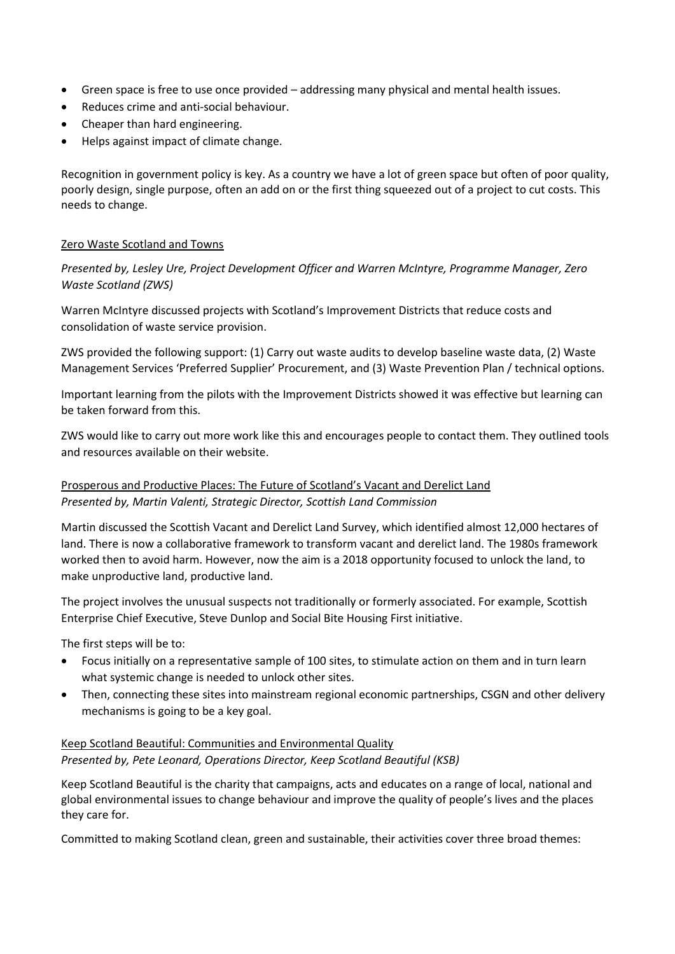- Green space is free to use once provided addressing many physical and mental health issues.
- Reduces crime and anti-social behaviour.
- Cheaper than hard engineering.
- Helps against impact of climate change.

Recognition in government policy is key. As a country we have a lot of green space but often of poor quality, poorly design, single purpose, often an add on or the first thing squeezed out of a project to cut costs. This needs to change.

## Zero Waste Scotland and Towns

*Presented by, Lesley Ure, Project Development Officer and Warren McIntyre, Programme Manager, Zero Waste Scotland (ZWS)*

Warren McIntyre discussed projects with Scotland's Improvement Districts that reduce costs and consolidation of waste service provision.

ZWS provided the following support: (1) Carry out waste audits to develop baseline waste data, (2) Waste Management Services 'Preferred Supplier' Procurement, and (3) Waste Prevention Plan / technical options.

Important learning from the pilots with the Improvement Districts showed it was effective but learning can be taken forward from this.

ZWS would like to carry out more work like this and encourages people to contact them. They outlined tools and resources available on their website.

## Prosperous and Productive Places: The Future of Scotland's Vacant and Derelict Land *Presented by, Martin Valenti, Strategic Director, Scottish Land Commission*

Martin discussed the Scottish Vacant and Derelict Land Survey, which identified almost 12,000 hectares of land. There is now a collaborative framework to transform vacant and derelict land. The 1980s framework worked then to avoid harm. However, now the aim is a 2018 opportunity focused to unlock the land, to make unproductive land, productive land.

The project involves the unusual suspects not traditionally or formerly associated. For example, Scottish Enterprise Chief Executive, Steve Dunlop and Social Bite Housing First initiative.

The first steps will be to:

- Focus initially on a representative sample of 100 sites, to stimulate action on them and in turn learn what systemic change is needed to unlock other sites.
- Then, connecting these sites into mainstream regional economic partnerships, CSGN and other delivery mechanisms is going to be a key goal.

## Keep Scotland Beautiful: Communities and Environmental Quality *Presented by, Pete Leonard, Operations Director, Keep Scotland Beautiful (KSB)*

Keep Scotland Beautiful is the charity that campaigns, acts and educates on a range of local, national and global environmental issues to change behaviour and improve the quality of people's lives and the places they care for.

Committed to making Scotland clean, green and sustainable, their activities cover three broad themes: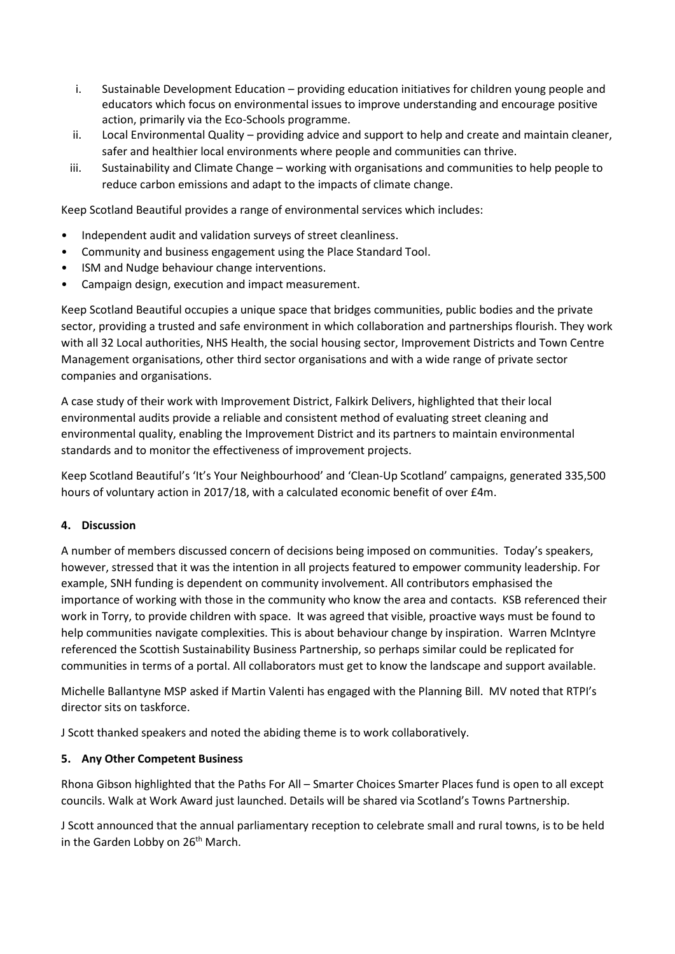- i. Sustainable Development Education providing education initiatives for children young people and educators which focus on environmental issues to improve understanding and encourage positive action, primarily via the Eco-Schools programme.
- ii. Local Environmental Quality providing advice and support to help and create and maintain cleaner, safer and healthier local environments where people and communities can thrive.
- iii. Sustainability and Climate Change working with organisations and communities to help people to reduce carbon emissions and adapt to the impacts of climate change.

Keep Scotland Beautiful provides a range of environmental services which includes:

- Independent audit and validation surveys of street cleanliness.
- Community and business engagement using the Place Standard Tool.
- ISM and Nudge behaviour change interventions.
- Campaign design, execution and impact measurement.

Keep Scotland Beautiful occupies a unique space that bridges communities, public bodies and the private sector, providing a trusted and safe environment in which collaboration and partnerships flourish. They work with all 32 Local authorities, NHS Health, the social housing sector, Improvement Districts and Town Centre Management organisations, other third sector organisations and with a wide range of private sector companies and organisations.

A case study of their work with Improvement District, Falkirk Delivers, highlighted that their local environmental audits provide a reliable and consistent method of evaluating street cleaning and environmental quality, enabling the Improvement District and its partners to maintain environmental standards and to monitor the effectiveness of improvement projects.

Keep Scotland Beautiful's 'It's Your Neighbourhood' and 'Clean-Up Scotland' campaigns, generated 335,500 hours of voluntary action in 2017/18, with a calculated economic benefit of over £4m.

## **4. Discussion**

A number of members discussed concern of decisions being imposed on communities. Today's speakers, however, stressed that it was the intention in all projects featured to empower community leadership. For example, SNH funding is dependent on community involvement. All contributors emphasised the importance of working with those in the community who know the area and contacts. KSB referenced their work in Torry, to provide children with space. It was agreed that visible, proactive ways must be found to help communities navigate complexities. This is about behaviour change by inspiration. Warren McIntyre referenced the Scottish Sustainability Business Partnership, so perhaps similar could be replicated for communities in terms of a portal. All collaborators must get to know the landscape and support available.

Michelle Ballantyne MSP asked if Martin Valenti has engaged with the Planning Bill. MV noted that RTPI's director sits on taskforce.

J Scott thanked speakers and noted the abiding theme is to work collaboratively.

## **5. Any Other Competent Business**

Rhona Gibson highlighted that the Paths For All – Smarter Choices Smarter Places fund is open to all except councils. Walk at Work Award just launched. Details will be shared via Scotland's Towns Partnership.

J Scott announced that the annual parliamentary reception to celebrate small and rural towns, is to be held in the Garden Lobby on  $26<sup>th</sup>$  March.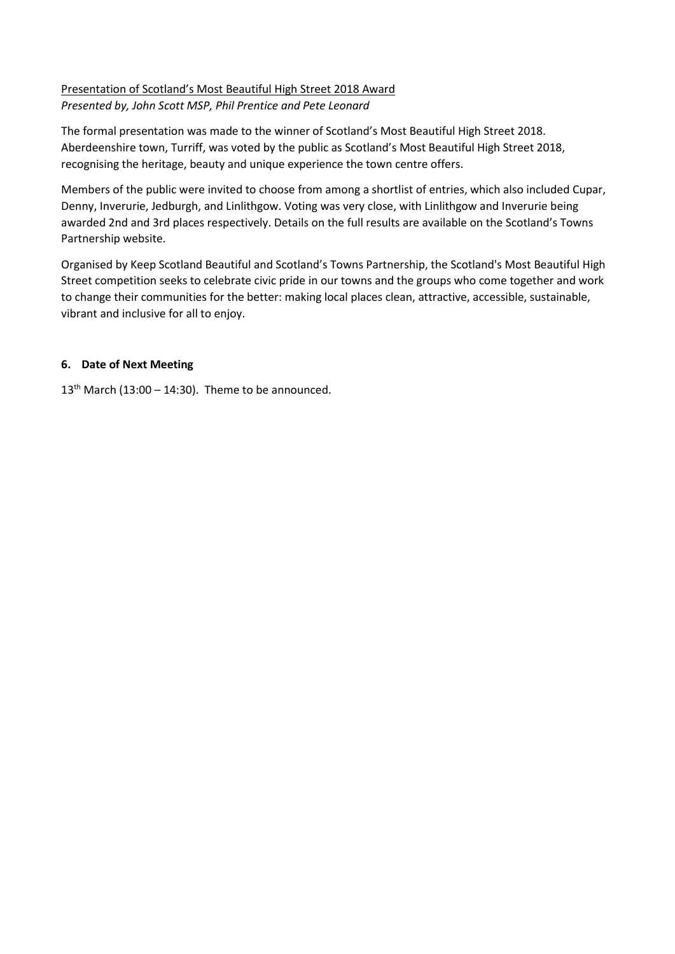## Presentation of Scotland's Most Beautiful High Street 2018 Award *Presented by, John Scott MSP, Phil Prentice and Pete Leonard*

The formal presentation was made to the winner of Scotland's Most Beautiful High Street 2018. Aberdeenshire town, Turriff, was voted by the public as Scotland's Most Beautiful High Street 2018, recognising the heritage, beauty and unique experience the town centre offers.

Members of the public were invited to choose from among a shortlist of entries, which also included Cupar, Denny, Inverurie, Jedburgh, and Linlithgow. Voting was very close, with Linlithgow and Inverurie being awarded 2nd and 3rd places respectively. Details on the full results are available on the Scotland's Towns Partnership website.

Organised by Keep Scotland Beautiful and Scotland's Towns Partnership, the Scotland's Most Beautiful High Street competition seeks to celebrate civic pride in our towns and the groups who come together and work to change their communities for the better: making local places clean, attractive, accessible, sustainable, vibrant and inclusive for all to enjoy.

## **6. Date of Next Meeting**

 $13<sup>th</sup>$  March (13:00 – 14:30). Theme to be announced.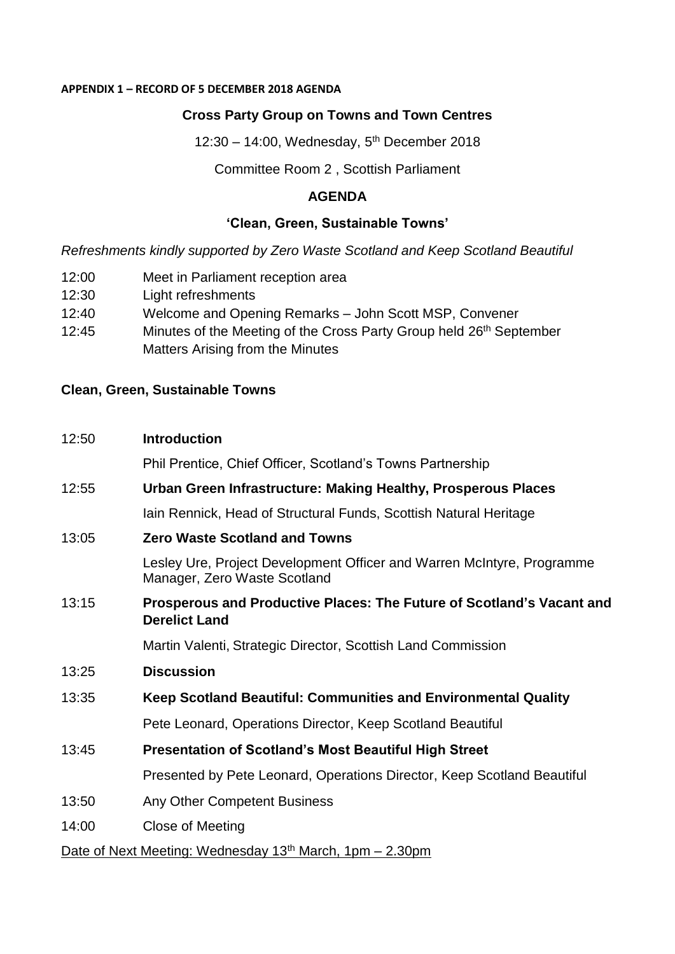## **APPENDIX 1 – RECORD OF 5 DECEMBER 2018 AGENDA**

# **Cross Party Group on Towns and Town Centres**

12:30 - 14:00, Wednesday, 5<sup>th</sup> December 2018

## Committee Room 2 , Scottish Parliament

## **AGENDA**

# **'Clean, Green, Sustainable Towns'**

*Refreshments kindly supported by Zero Waste Scotland and Keep Scotland Beautiful* 

| 12:00 | Meet in Parliament reception area |  |
|-------|-----------------------------------|--|
|       |                                   |  |

- 12:30 Light refreshments
- 12:40 Welcome and Opening Remarks John Scott MSP, Convener
- 12:45 Minutes of the Meeting of the Cross Party Group held 26<sup>th</sup> September Matters Arising from the Minutes

# **Clean, Green, Sustainable Towns**

# 12:50 **Introduction**

Phil Prentice, Chief Officer, Scotland's Towns Partnership

# 12:55 **Urban Green Infrastructure: Making Healthy, Prosperous Places**

Iain Rennick, Head of Structural Funds, Scottish Natural Heritage

13:05 **Zero Waste Scotland and Towns** 

Lesley Ure, Project Development Officer and Warren McIntyre, Programme Manager, Zero Waste Scotland

13:15 **Prosperous and Productive Places: The Future of Scotland's Vacant and Derelict Land**

Martin Valenti, Strategic Director, Scottish Land Commission

- 13:25 **Discussion**
- 13:35 **Keep Scotland Beautiful: Communities and Environmental Quality**

Pete Leonard, Operations Director, Keep Scotland Beautiful

13:45 **Presentation of Scotland's Most Beautiful High Street**

Presented by Pete Leonard, Operations Director, Keep Scotland Beautiful

- 13:50 Any Other Competent Business
- 14:00 Close of Meeting

# Date of Next Meeting: Wednesday  $13<sup>th</sup>$  March, 1pm – 2.30pm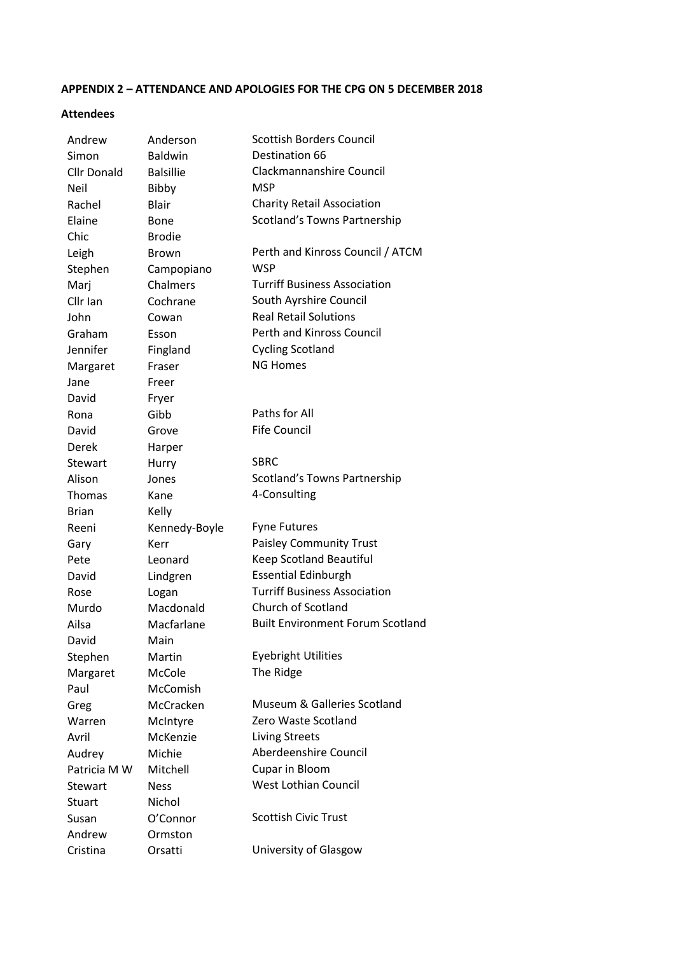# **APPENDIX 2 – ATTENDANCE AND APOLOGIES FOR THE CPG ON 5 DECEMBER 2018**

#### **Attendees**

| Andrew             | Anderson         | <b>Scottish Borders Council</b>         |
|--------------------|------------------|-----------------------------------------|
| Simon              | <b>Baldwin</b>   | Destination 66                          |
| <b>Cllr Donald</b> | <b>Balsillie</b> | Clackmannanshire Council                |
| Neil               | Bibby            | <b>MSP</b>                              |
| Rachel             | <b>Blair</b>     | <b>Charity Retail Association</b>       |
| Elaine             | Bone             | Scotland's Towns Partnership            |
| Chic               | <b>Brodie</b>    |                                         |
| Leigh              | Brown            | Perth and Kinross Council / ATCM        |
| Stephen            | Campopiano       | <b>WSP</b>                              |
| Marj               | Chalmers         | <b>Turriff Business Association</b>     |
| Cllr Ian           | Cochrane         | South Ayrshire Council                  |
| John               | Cowan            | <b>Real Retail Solutions</b>            |
| Graham             | Esson            | Perth and Kinross Council               |
| Jennifer           | Fingland         | <b>Cycling Scotland</b>                 |
| Margaret           | Fraser           | <b>NG Homes</b>                         |
| Jane               | Freer            |                                         |
| David              | Fryer            |                                         |
| Rona               | Gibb             | Paths for All                           |
| David              | Grove            | <b>Fife Council</b>                     |
| Derek              | Harper           |                                         |
| Stewart            | Hurry            | <b>SBRC</b>                             |
| Alison             | Jones            | Scotland's Towns Partnership            |
| Thomas             | Kane             | 4-Consulting                            |
| <b>Brian</b>       | Kelly            |                                         |
| Reeni              | Kennedy-Boyle    | <b>Fyne Futures</b>                     |
| Gary               | Kerr             | <b>Paisley Community Trust</b>          |
| Pete               | Leonard          | Keep Scotland Beautiful                 |
| David              | Lindgren         | <b>Essential Edinburgh</b>              |
| Rose               | Logan            | <b>Turriff Business Association</b>     |
| Murdo              | Macdonald        | <b>Church of Scotland</b>               |
| Ailsa              | Macfarlane       | <b>Built Environment Forum Scotland</b> |
| David              | Main             |                                         |
| Stephen            | Martin           | <b>Eyebright Utilities</b>              |
| Margaret           | McCole           | The Ridge                               |
| Paul               | McComish         |                                         |
| Greg               | McCracken        | Museum & Galleries Scotland             |
| Warren             | McIntyre         | Zero Waste Scotland                     |
| Avril              | McKenzie         | <b>Living Streets</b>                   |
| Audrey             | Michie           | Aberdeenshire Council                   |
| Patricia M W       | Mitchell         | Cupar in Bloom                          |
| Stewart            | <b>Ness</b>      | <b>West Lothian Council</b>             |
| <b>Stuart</b>      | Nichol           |                                         |
| Susan              | O'Connor         | <b>Scottish Civic Trust</b>             |
| Andrew             | Ormston          |                                         |
| Cristina           | Orsatti          | University of Glasgow                   |